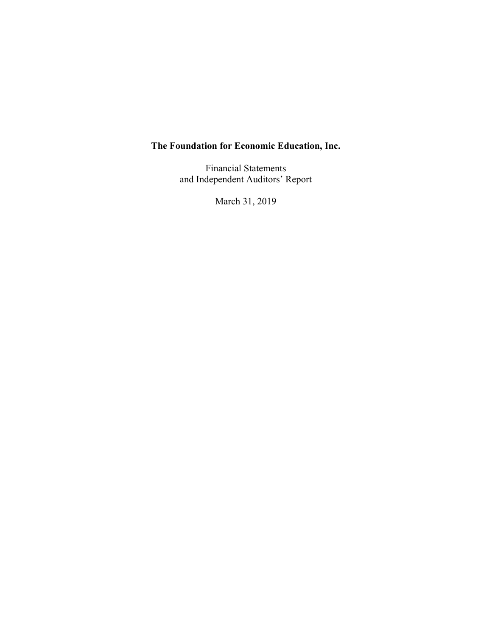Financial Statements and Independent Auditors' Report

March 31, 2019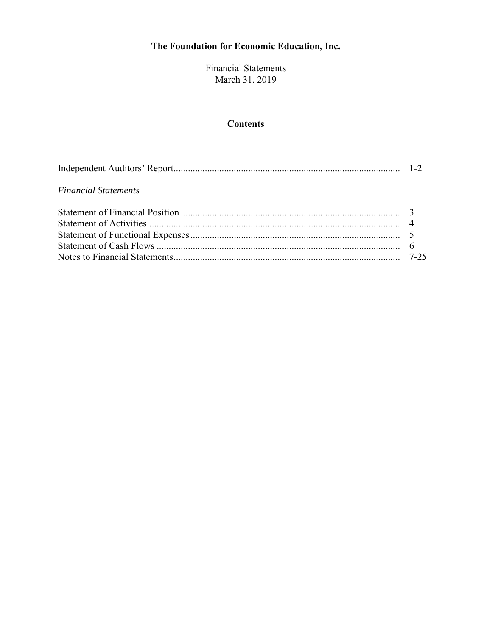Financial Statements March 31, 2019

## **Contents**

| <b>Financial Statements</b> |  |
|-----------------------------|--|
|                             |  |
|                             |  |
|                             |  |
|                             |  |
|                             |  |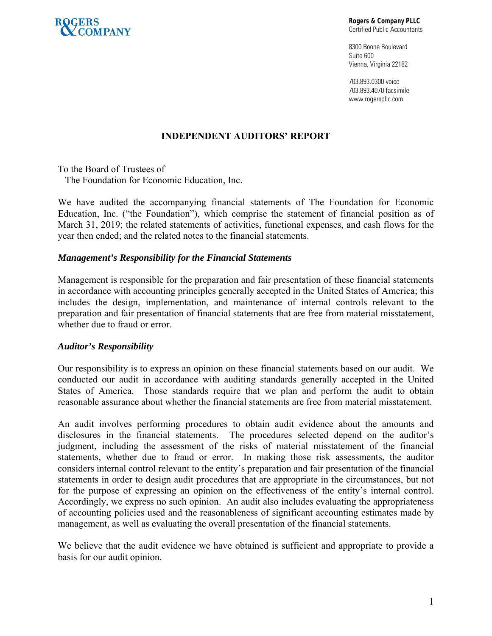

**Rogers & Company PLLC**  Certified Public Accountants

8300 Boone Boulevard Suite 600 Vienna, Virginia 22182

703.893.0300 voice 703.893.4070 facsimile www.rogerspllc.com

## **INDEPENDENT AUDITORS' REPORT**

To the Board of Trustees of The Foundation for Economic Education, Inc.

We have audited the accompanying financial statements of The Foundation for Economic Education, Inc. ("the Foundation"), which comprise the statement of financial position as of March 31, 2019; the related statements of activities, functional expenses, and cash flows for the year then ended; and the related notes to the financial statements.

## *Management's Responsibility for the Financial Statements*

Management is responsible for the preparation and fair presentation of these financial statements in accordance with accounting principles generally accepted in the United States of America; this includes the design, implementation, and maintenance of internal controls relevant to the preparation and fair presentation of financial statements that are free from material misstatement, whether due to fraud or error.

## *Auditor's Responsibility*

Our responsibility is to express an opinion on these financial statements based on our audit. We conducted our audit in accordance with auditing standards generally accepted in the United States of America. Those standards require that we plan and perform the audit to obtain reasonable assurance about whether the financial statements are free from material misstatement.

An audit involves performing procedures to obtain audit evidence about the amounts and disclosures in the financial statements. The procedures selected depend on the auditor's judgment, including the assessment of the risks of material misstatement of the financial statements, whether due to fraud or error. In making those risk assessments, the auditor considers internal control relevant to the entity's preparation and fair presentation of the financial statements in order to design audit procedures that are appropriate in the circumstances, but not for the purpose of expressing an opinion on the effectiveness of the entity's internal control. Accordingly, we express no such opinion. An audit also includes evaluating the appropriateness of accounting policies used and the reasonableness of significant accounting estimates made by management, as well as evaluating the overall presentation of the financial statements.

We believe that the audit evidence we have obtained is sufficient and appropriate to provide a basis for our audit opinion.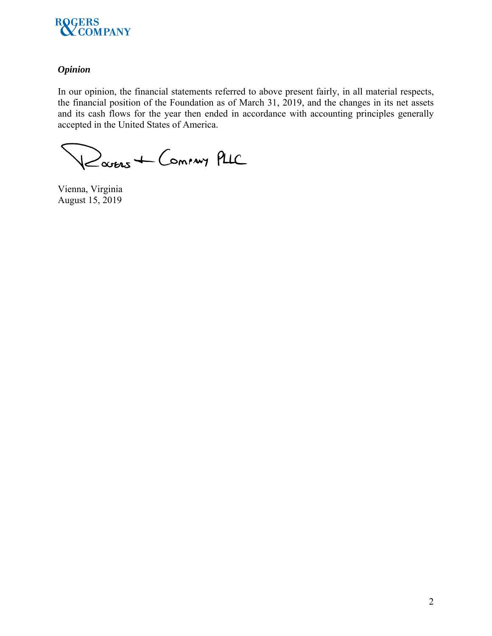

## *Opinion*

In our opinion, the financial statements referred to above present fairly, in all material respects, the financial position of the Foundation as of March 31, 2019, and the changes in its net assets and its cash flows for the year then ended in accordance with accounting principles generally accepted in the United States of America.

Rouers + Commy PLIC

Vienna, Virginia August 15, 2019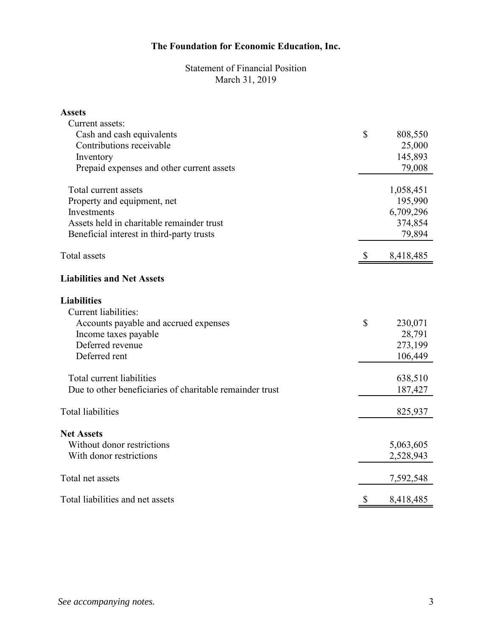Statement of Financial Position March 31, 2019

| <b>Assets</b>                                            |                           |           |
|----------------------------------------------------------|---------------------------|-----------|
| Current assets:                                          |                           |           |
| Cash and cash equivalents                                | \$                        | 808,550   |
| Contributions receivable                                 |                           | 25,000    |
| Inventory                                                |                           | 145,893   |
| Prepaid expenses and other current assets                |                           | 79,008    |
| Total current assets                                     |                           | 1,058,451 |
| Property and equipment, net                              |                           | 195,990   |
| Investments                                              |                           | 6,709,296 |
| Assets held in charitable remainder trust                |                           | 374,854   |
| Beneficial interest in third-party trusts                |                           | 79,894    |
| Total assets                                             | $\boldsymbol{\mathsf{S}}$ | 8,418,485 |
| <b>Liabilities and Net Assets</b>                        |                           |           |
| <b>Liabilities</b>                                       |                           |           |
| <b>Current liabilities:</b>                              |                           |           |
| Accounts payable and accrued expenses                    | \$                        | 230,071   |
| Income taxes payable                                     |                           | 28,791    |
| Deferred revenue                                         |                           | 273,199   |
| Deferred rent                                            |                           | 106,449   |
| Total current liabilities                                |                           | 638,510   |
| Due to other beneficiaries of charitable remainder trust |                           | 187,427   |
| <b>Total liabilities</b>                                 |                           | 825,937   |
| <b>Net Assets</b>                                        |                           |           |
| Without donor restrictions                               |                           | 5,063,605 |
| With donor restrictions                                  |                           | 2,528,943 |
|                                                          |                           |           |
| Total net assets                                         |                           | 7,592,548 |
| Total liabilities and net assets                         | $\boldsymbol{\mathsf{S}}$ | 8,418,485 |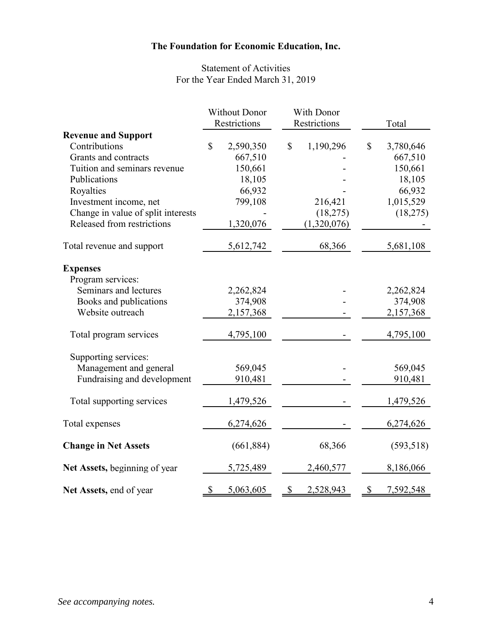## Statement of Activities For the Year Ended March 31, 2019

|                                    | <b>Without Donor</b> |              |                           | With Donor  |                           |            |
|------------------------------------|----------------------|--------------|---------------------------|-------------|---------------------------|------------|
|                                    |                      | Restrictions | Restrictions              |             |                           | Total      |
| <b>Revenue and Support</b>         |                      |              |                           |             |                           |            |
| Contributions                      | $\mathbb{S}$         | 2,590,350    | \$                        | 1,190,296   | $\mathbb{S}$              | 3,780,646  |
| Grants and contracts               |                      | 667,510      |                           |             |                           | 667,510    |
| Tuition and seminars revenue       |                      | 150,661      |                           |             |                           | 150,661    |
| Publications                       |                      | 18,105       |                           |             |                           | 18,105     |
| Royalties                          |                      | 66,932       |                           |             |                           | 66,932     |
| Investment income, net             |                      | 799,108      |                           | 216,421     |                           | 1,015,529  |
| Change in value of split interests |                      |              |                           | (18,275)    |                           | (18,275)   |
| Released from restrictions         |                      | 1,320,076    |                           | (1,320,076) |                           |            |
| Total revenue and support          |                      | 5,612,742    |                           | 68,366      |                           | 5,681,108  |
| <b>Expenses</b>                    |                      |              |                           |             |                           |            |
| Program services:                  |                      |              |                           |             |                           |            |
| Seminars and lectures              |                      | 2,262,824    |                           |             |                           | 2,262,824  |
| Books and publications             |                      | 374,908      |                           |             |                           | 374,908    |
| Website outreach                   |                      | 2,157,368    |                           |             |                           | 2,157,368  |
| Total program services             |                      | 4,795,100    |                           |             |                           | 4,795,100  |
| Supporting services:               |                      |              |                           |             |                           |            |
| Management and general             |                      | 569,045      |                           |             |                           | 569,045    |
| Fundraising and development        |                      | 910,481      |                           |             |                           | 910,481    |
| Total supporting services          |                      | 1,479,526    |                           |             |                           | 1,479,526  |
| Total expenses                     |                      | 6,274,626    |                           |             |                           | 6,274,626  |
| <b>Change in Net Assets</b>        |                      | (661, 884)   |                           | 68,366      |                           | (593, 518) |
| Net Assets, beginning of year      |                      | 5,725,489    |                           | 2,460,577   |                           | 8,186,066  |
| Net Assets, end of year            | \$                   | 5,063,605    | $\boldsymbol{\mathsf{S}}$ | 2,528,943   | $\boldsymbol{\mathsf{S}}$ | 7,592,548  |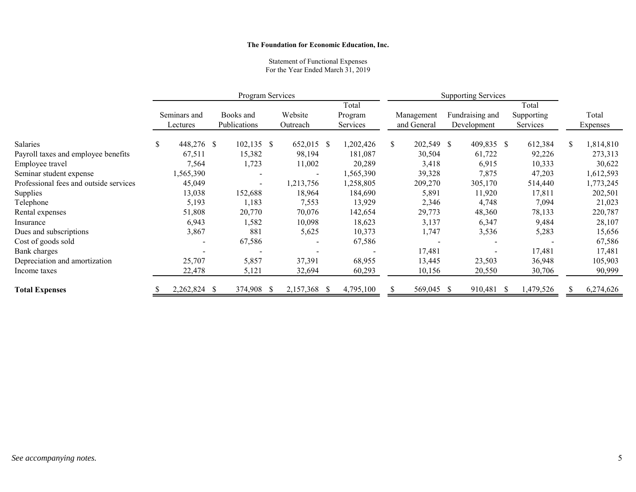#### Statement of Functional Expenses For the Year Ended March 31, 2019

|                                        | Program Services |                          |              |           |                  | <b>Supporting Services</b> |            |                 |  |
|----------------------------------------|------------------|--------------------------|--------------|-----------|------------------|----------------------------|------------|-----------------|--|
|                                        |                  |                          |              | Total     |                  |                            | Total      |                 |  |
|                                        | Seminars and     | Books and                | Website      | Program   | Management       | Fundraising and            | Supporting | Total           |  |
|                                        | Lectures         | Publications             | Outreach     | Services  | and General      | Development                | Services   | <b>Expenses</b> |  |
| Salaries                               | \$<br>448,276 \$ | $102,135$ \$             | 652,015 \$   | 1,202,426 | \$<br>202,549 \$ | 409,835 \$                 | 612,384    | 1,814,810       |  |
| Payroll taxes and employee benefits    | 67,511           | 15,382                   | 98,194       | 181,087   | 30,504           | 61,722                     | 92,226     | 273,313         |  |
| Employee travel                        | 7,564            | 1,723                    | 11,002       | 20,289    | 3,418            | 6,915                      | 10,333     | 30,622          |  |
| Seminar student expense                | 1,565,390        |                          |              | 1,565,390 | 39,328           | 7,875                      | 47,203     | 1,612,593       |  |
| Professional fees and outside services | 45,049           | $\overline{\phantom{a}}$ | 1,213,756    | 1,258,805 | 209,270          | 305,170                    | 514,440    | 1,773,245       |  |
| Supplies                               | 13,038           | 152,688                  | 18,964       | 184,690   | 5,891            | 11,920                     | 17,811     | 202,501         |  |
| Telephone                              | 5,193            | 1,183                    | 7,553        | 13,929    | 2,346            | 4,748                      | 7,094      | 21,023          |  |
| Rental expenses                        | 51,808           | 20,770                   | 70,076       | 142,654   | 29,773           | 48,360                     | 78,133     | 220,787         |  |
| Insurance                              | 6,943            | 1,582                    | 10,098       | 18,623    | 3,137            | 6,347                      | 9,484      | 28,107          |  |
| Dues and subscriptions                 | 3,867            | 881                      | 5,625        | 10,373    | 1,747            | 3,536                      | 5,283      | 15,656          |  |
| Cost of goods sold                     |                  | 67,586                   |              | 67,586    |                  |                            |            | 67,586          |  |
| Bank charges                           |                  |                          |              |           | 17,481           |                            | 17,481     | 17,481          |  |
| Depreciation and amortization          | 25,707           | 5,857                    | 37,391       | 68,955    | 13,445           | 23,503                     | 36,948     | 105,903         |  |
| Income taxes                           | 22,478           | 5,121                    | 32,694       | 60,293    | 10,156           | 20,550                     | 30,706     | 90,999          |  |
| <b>Total Expenses</b>                  | 2,262,824 \$     | 374,908 \$               | 2,157,368 \$ | 4,795,100 | 569,045 \$       | 910,481 \$                 | 1,479,526  | 6,274,626       |  |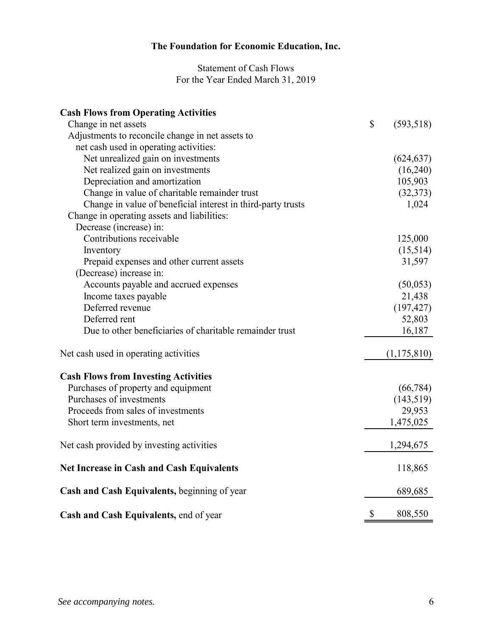## Statement of Cash Flows For the Year Ended March 31, 2019

| <b>Cash Flows from Operating Activities</b>                  |                  |
|--------------------------------------------------------------|------------------|
| Change in net assets                                         | \$<br>(593, 518) |
| Adjustments to reconcile change in net assets to             |                  |
| net cash used in operating activities:                       |                  |
| Net unrealized gain on investments                           | (624, 637)       |
| Net realized gain on investments                             | (16,240)         |
| Depreciation and amortization                                | 105,903          |
| Change in value of charitable remainder trust                | (32,373)         |
| Change in value of beneficial interest in third-party trusts | 1,024            |
| Change in operating assets and liabilities:                  |                  |
| Decrease (increase) in:                                      |                  |
| Contributions receivable                                     | 125,000          |
| Inventory                                                    | (15,514)         |
| Prepaid expenses and other current assets                    | 31,597           |
| (Decrease) increase in:                                      |                  |
| Accounts payable and accrued expenses                        | (50,053)         |
| Income taxes payable                                         | 21,438           |
| Deferred revenue                                             | (197, 427)       |
| Deferred rent                                                | 52,803           |
| Due to other beneficiaries of charitable remainder trust     | 16,187           |
| Net cash used in operating activities                        | (1, 175, 810)    |
| <b>Cash Flows from Investing Activities</b>                  |                  |
| Purchases of property and equipment                          | (66, 784)        |
| Purchases of investments                                     | (143, 519)       |
| Proceeds from sales of investments                           | 29,953           |
| Short term investments, net                                  | 1,475,025        |
| Net cash provided by investing activities                    | 1,294,675        |
| <b>Net Increase in Cash and Cash Equivalents</b>             | 118,865          |
| Cash and Cash Equivalents, beginning of year                 | 689,685          |
| Cash and Cash Equivalents, end of year                       | \$<br>808,550    |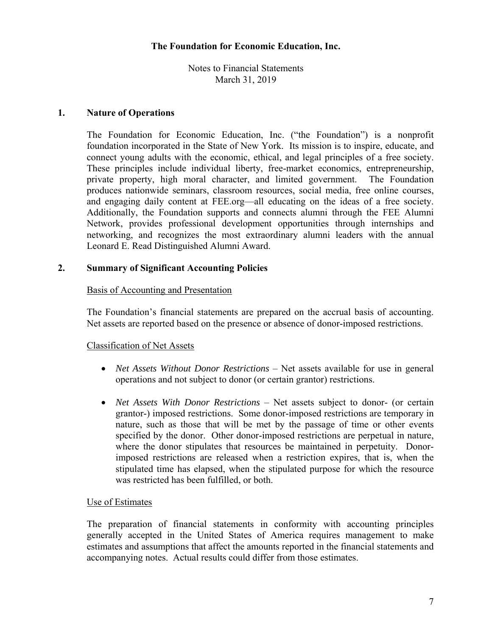Notes to Financial Statements March 31, 2019

#### **1. Nature of Operations**

The Foundation for Economic Education, Inc. ("the Foundation") is a nonprofit foundation incorporated in the State of New York. Its mission is to inspire, educate, and connect young adults with the economic, ethical, and legal principles of a free society. These principles include individual liberty, free-market economics, entrepreneurship, private property, high moral character, and limited government. The Foundation produces nationwide seminars, classroom resources, social media, free online courses, and engaging daily content at FEE.org—all educating on the ideas of a free society. Additionally, the Foundation supports and connects alumni through the FEE Alumni Network, provides professional development opportunities through internships and networking, and recognizes the most extraordinary alumni leaders with the annual Leonard E. Read Distinguished Alumni Award.

## **2. Summary of Significant Accounting Policies**

#### Basis of Accounting and Presentation

The Foundation's financial statements are prepared on the accrual basis of accounting. Net assets are reported based on the presence or absence of donor-imposed restrictions.

## Classification of Net Assets

- *Net Assets Without Donor Restrictions* Net assets available for use in general operations and not subject to donor (or certain grantor) restrictions.
- *Net Assets With Donor Restrictions* Net assets subject to donor- (or certain grantor-) imposed restrictions. Some donor-imposed restrictions are temporary in nature, such as those that will be met by the passage of time or other events specified by the donor. Other donor-imposed restrictions are perpetual in nature, where the donor stipulates that resources be maintained in perpetuity. Donorimposed restrictions are released when a restriction expires, that is, when the stipulated time has elapsed, when the stipulated purpose for which the resource was restricted has been fulfilled, or both.

## Use of Estimates

The preparation of financial statements in conformity with accounting principles generally accepted in the United States of America requires management to make estimates and assumptions that affect the amounts reported in the financial statements and accompanying notes. Actual results could differ from those estimates.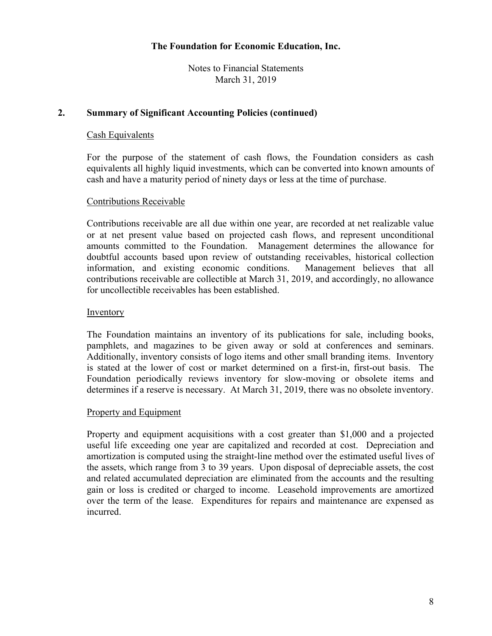Notes to Financial Statements March 31, 2019

## **2. Summary of Significant Accounting Policies (continued)**

## Cash Equivalents

For the purpose of the statement of cash flows, the Foundation considers as cash equivalents all highly liquid investments, which can be converted into known amounts of cash and have a maturity period of ninety days or less at the time of purchase.

## Contributions Receivable

Contributions receivable are all due within one year, are recorded at net realizable value or at net present value based on projected cash flows, and represent unconditional amounts committed to the Foundation. Management determines the allowance for doubtful accounts based upon review of outstanding receivables, historical collection information, and existing economic conditions. Management believes that all contributions receivable are collectible at March 31, 2019, and accordingly, no allowance for uncollectible receivables has been established.

#### **Inventory**

The Foundation maintains an inventory of its publications for sale, including books, pamphlets, and magazines to be given away or sold at conferences and seminars. Additionally, inventory consists of logo items and other small branding items. Inventory is stated at the lower of cost or market determined on a first-in, first-out basis. The Foundation periodically reviews inventory for slow-moving or obsolete items and determines if a reserve is necessary. At March 31, 2019, there was no obsolete inventory.

#### Property and Equipment

Property and equipment acquisitions with a cost greater than \$1,000 and a projected useful life exceeding one year are capitalized and recorded at cost. Depreciation and amortization is computed using the straight-line method over the estimated useful lives of the assets, which range from 3 to 39 years. Upon disposal of depreciable assets, the cost and related accumulated depreciation are eliminated from the accounts and the resulting gain or loss is credited or charged to income. Leasehold improvements are amortized over the term of the lease. Expenditures for repairs and maintenance are expensed as incurred.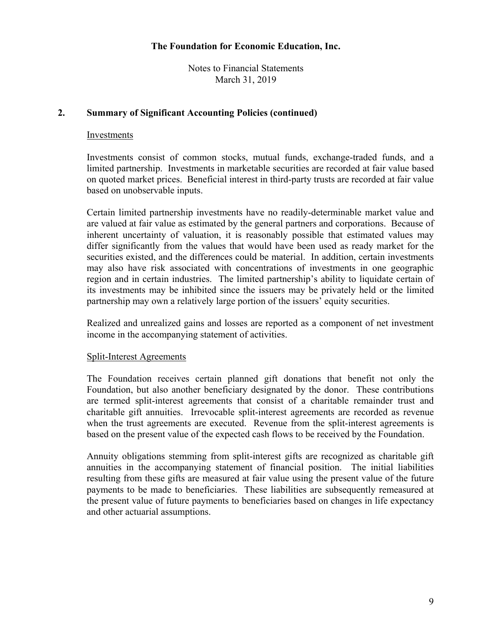Notes to Financial Statements March 31, 2019

## **2. Summary of Significant Accounting Policies (continued)**

#### Investments

Investments consist of common stocks, mutual funds, exchange-traded funds, and a limited partnership. Investments in marketable securities are recorded at fair value based on quoted market prices. Beneficial interest in third-party trusts are recorded at fair value based on unobservable inputs.

Certain limited partnership investments have no readily-determinable market value and are valued at fair value as estimated by the general partners and corporations. Because of inherent uncertainty of valuation, it is reasonably possible that estimated values may differ significantly from the values that would have been used as ready market for the securities existed, and the differences could be material. In addition, certain investments may also have risk associated with concentrations of investments in one geographic region and in certain industries. The limited partnership's ability to liquidate certain of its investments may be inhibited since the issuers may be privately held or the limited partnership may own a relatively large portion of the issuers' equity securities.

Realized and unrealized gains and losses are reported as a component of net investment income in the accompanying statement of activities.

## Split-Interest Agreements

The Foundation receives certain planned gift donations that benefit not only the Foundation, but also another beneficiary designated by the donor. These contributions are termed split-interest agreements that consist of a charitable remainder trust and charitable gift annuities. Irrevocable split-interest agreements are recorded as revenue when the trust agreements are executed. Revenue from the split-interest agreements is based on the present value of the expected cash flows to be received by the Foundation.

Annuity obligations stemming from split-interest gifts are recognized as charitable gift annuities in the accompanying statement of financial position. The initial liabilities resulting from these gifts are measured at fair value using the present value of the future payments to be made to beneficiaries. These liabilities are subsequently remeasured at the present value of future payments to beneficiaries based on changes in life expectancy and other actuarial assumptions.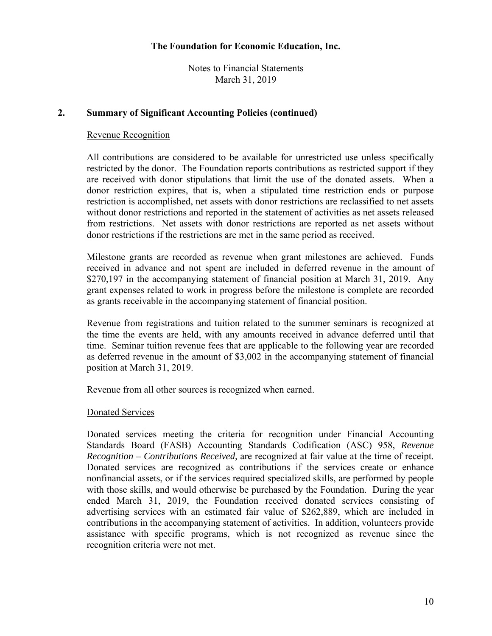Notes to Financial Statements March 31, 2019

## **2. Summary of Significant Accounting Policies (continued)**

#### Revenue Recognition

All contributions are considered to be available for unrestricted use unless specifically restricted by the donor. The Foundation reports contributions as restricted support if they are received with donor stipulations that limit the use of the donated assets. When a donor restriction expires, that is, when a stipulated time restriction ends or purpose restriction is accomplished, net assets with donor restrictions are reclassified to net assets without donor restrictions and reported in the statement of activities as net assets released from restrictions. Net assets with donor restrictions are reported as net assets without donor restrictions if the restrictions are met in the same period as received.

Milestone grants are recorded as revenue when grant milestones are achieved. Funds received in advance and not spent are included in deferred revenue in the amount of \$270,197 in the accompanying statement of financial position at March 31, 2019. Any grant expenses related to work in progress before the milestone is complete are recorded as grants receivable in the accompanying statement of financial position.

Revenue from registrations and tuition related to the summer seminars is recognized at the time the events are held, with any amounts received in advance deferred until that time. Seminar tuition revenue fees that are applicable to the following year are recorded as deferred revenue in the amount of \$3,002 in the accompanying statement of financial position at March 31, 2019.

Revenue from all other sources is recognized when earned.

#### Donated Services

Donated services meeting the criteria for recognition under Financial Accounting Standards Board (FASB) Accounting Standards Codification (ASC) 958, *Revenue Recognition – Contributions Received,* are recognized at fair value at the time of receipt. Donated services are recognized as contributions if the services create or enhance nonfinancial assets, or if the services required specialized skills, are performed by people with those skills, and would otherwise be purchased by the Foundation. During the year ended March 31, 2019, the Foundation received donated services consisting of advertising services with an estimated fair value of \$262,889, which are included in contributions in the accompanying statement of activities. In addition, volunteers provide assistance with specific programs, which is not recognized as revenue since the recognition criteria were not met.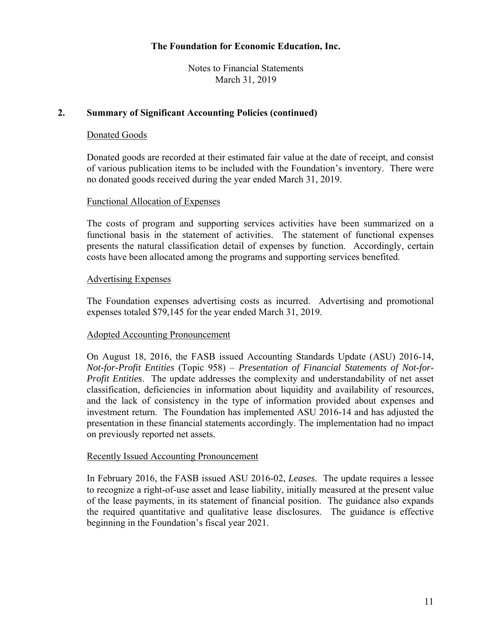Notes to Financial Statements March 31, 2019

## **2. Summary of Significant Accounting Policies (continued)**

## Donated Goods

Donated goods are recorded at their estimated fair value at the date of receipt, and consist of various publication items to be included with the Foundation's inventory. There were no donated goods received during the year ended March 31, 2019.

#### Functional Allocation of Expenses

The costs of program and supporting services activities have been summarized on a functional basis in the statement of activities. The statement of functional expenses presents the natural classification detail of expenses by function. Accordingly, certain costs have been allocated among the programs and supporting services benefited.

#### Advertising Expenses

The Foundation expenses advertising costs as incurred. Advertising and promotional expenses totaled \$79,145 for the year ended March 31, 2019.

## Adopted Accounting Pronouncement

On August 18, 2016, the FASB issued Accounting Standards Update (ASU) 2016-14, *Not-for-Profit Entities* (Topic 958) – *Presentation of Financial Statements of Not-for-Profit Entities*. The update addresses the complexity and understandability of net asset classification, deficiencies in information about liquidity and availability of resources, and the lack of consistency in the type of information provided about expenses and investment return. The Foundation has implemented ASU 2016-14 and has adjusted the presentation in these financial statements accordingly. The implementation had no impact on previously reported net assets.

#### Recently Issued Accounting Pronouncement

In February 2016, the FASB issued ASU 2016-02, *Leases*. The update requires a lessee to recognize a right-of-use asset and lease liability, initially measured at the present value of the lease payments, in its statement of financial position. The guidance also expands the required quantitative and qualitative lease disclosures. The guidance is effective beginning in the Foundation's fiscal year 2021.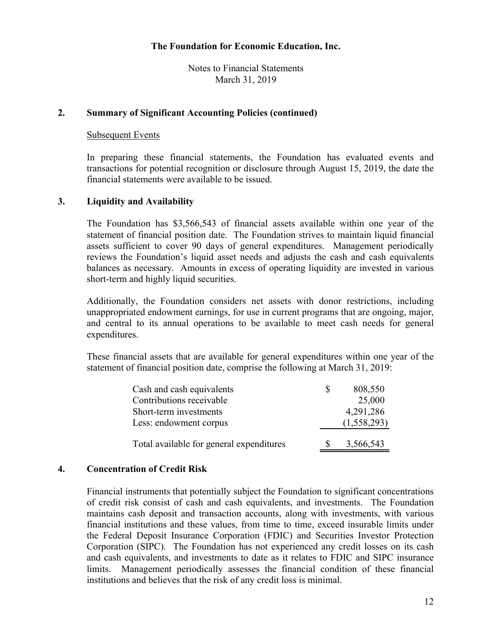Notes to Financial Statements March 31, 2019

## **2. Summary of Significant Accounting Policies (continued)**

#### Subsequent Events

In preparing these financial statements, the Foundation has evaluated events and transactions for potential recognition or disclosure through August 15, 2019, the date the financial statements were available to be issued.

## **3. Liquidity and Availability**

The Foundation has \$3,566,543 of financial assets available within one year of the statement of financial position date. The Foundation strives to maintain liquid financial assets sufficient to cover 90 days of general expenditures. Management periodically reviews the Foundation's liquid asset needs and adjusts the cash and cash equivalents balances as necessary. Amounts in excess of operating liquidity are invested in various short-term and highly liquid securities.

Additionally, the Foundation considers net assets with donor restrictions, including unappropriated endowment earnings, for use in current programs that are ongoing, major, and central to its annual operations to be available to meet cash needs for general expenditures.

These financial assets that are available for general expenditures within one year of the statement of financial position date, comprise the following at March 31, 2019:

| Cash and cash equivalents                |    | 808,550     |
|------------------------------------------|----|-------------|
| Contributions receivable                 |    | 25,000      |
| Short-term investments                   |    | 4,291,286   |
| Less: endowment corpus                   |    | (1,558,293) |
|                                          |    |             |
| Total available for general expenditures | -S | 3,566,543   |

## **4. Concentration of Credit Risk**

Financial instruments that potentially subject the Foundation to significant concentrations of credit risk consist of cash and cash equivalents, and investments. The Foundation maintains cash deposit and transaction accounts, along with investments, with various financial institutions and these values, from time to time, exceed insurable limits under the Federal Deposit Insurance Corporation (FDIC) and Securities Investor Protection Corporation (SIPC). The Foundation has not experienced any credit losses on its cash and cash equivalents, and investments to date as it relates to FDIC and SIPC insurance limits. Management periodically assesses the financial condition of these financial institutions and believes that the risk of any credit loss is minimal.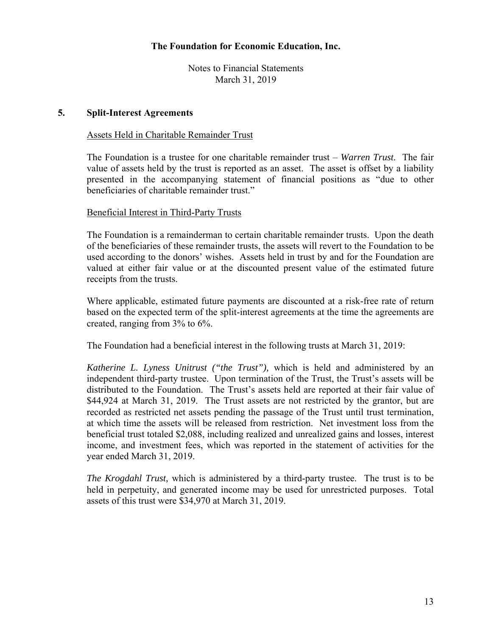Notes to Financial Statements March 31, 2019

#### **5. Split-Interest Agreements**

#### Assets Held in Charitable Remainder Trust

The Foundation is a trustee for one charitable remainder trust – *Warren Trust.* The fair value of assets held by the trust is reported as an asset. The asset is offset by a liability presented in the accompanying statement of financial positions as "due to other beneficiaries of charitable remainder trust."

#### Beneficial Interest in Third-Party Trusts

The Foundation is a remainderman to certain charitable remainder trusts. Upon the death of the beneficiaries of these remainder trusts, the assets will revert to the Foundation to be used according to the donors' wishes. Assets held in trust by and for the Foundation are valued at either fair value or at the discounted present value of the estimated future receipts from the trusts.

Where applicable, estimated future payments are discounted at a risk-free rate of return based on the expected term of the split-interest agreements at the time the agreements are created, ranging from 3% to 6%.

The Foundation had a beneficial interest in the following trusts at March 31, 2019:

*Katherine L. Lyness Unitrust ("the Trust"),* which is held and administered by an independent third-party trustee. Upon termination of the Trust, the Trust's assets will be distributed to the Foundation. The Trust's assets held are reported at their fair value of \$44,924 at March 31, 2019. The Trust assets are not restricted by the grantor, but are recorded as restricted net assets pending the passage of the Trust until trust termination, at which time the assets will be released from restriction. Net investment loss from the beneficial trust totaled \$2,088, including realized and unrealized gains and losses, interest income, and investment fees, which was reported in the statement of activities for the year ended March 31, 2019.

*The Krogdahl Trust,* which is administered by a third-party trustee. The trust is to be held in perpetuity, and generated income may be used for unrestricted purposes. Total assets of this trust were \$34,970 at March 31, 2019.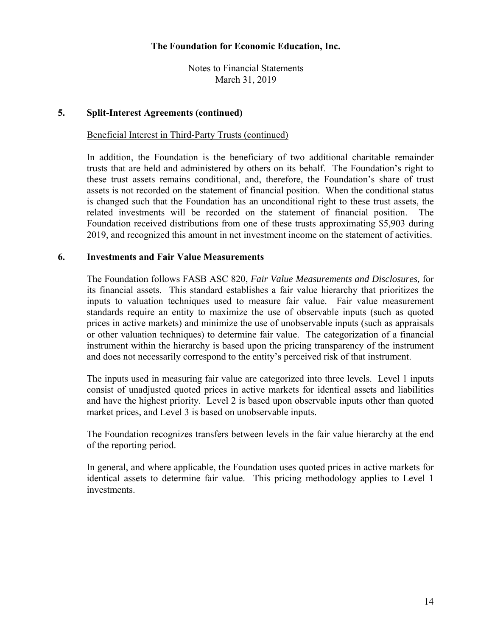Notes to Financial Statements March 31, 2019

#### **5. Split-Interest Agreements (continued)**

## Beneficial Interest in Third-Party Trusts (continued)

In addition, the Foundation is the beneficiary of two additional charitable remainder trusts that are held and administered by others on its behalf. The Foundation's right to these trust assets remains conditional, and, therefore, the Foundation's share of trust assets is not recorded on the statement of financial position. When the conditional status is changed such that the Foundation has an unconditional right to these trust assets, the related investments will be recorded on the statement of financial position. The Foundation received distributions from one of these trusts approximating \$5,903 during 2019, and recognized this amount in net investment income on the statement of activities.

#### **6. Investments and Fair Value Measurements**

The Foundation follows FASB ASC 820, *Fair Value Measurements and Disclosures,* for its financial assets. This standard establishes a fair value hierarchy that prioritizes the inputs to valuation techniques used to measure fair value. Fair value measurement standards require an entity to maximize the use of observable inputs (such as quoted prices in active markets) and minimize the use of unobservable inputs (such as appraisals or other valuation techniques) to determine fair value. The categorization of a financial instrument within the hierarchy is based upon the pricing transparency of the instrument and does not necessarily correspond to the entity's perceived risk of that instrument.

The inputs used in measuring fair value are categorized into three levels. Level 1 inputs consist of unadjusted quoted prices in active markets for identical assets and liabilities and have the highest priority. Level 2 is based upon observable inputs other than quoted market prices, and Level 3 is based on unobservable inputs.

The Foundation recognizes transfers between levels in the fair value hierarchy at the end of the reporting period.

In general, and where applicable, the Foundation uses quoted prices in active markets for identical assets to determine fair value. This pricing methodology applies to Level 1 investments.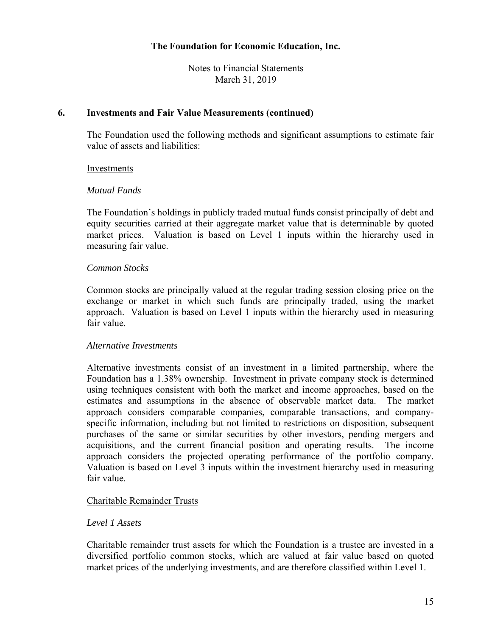Notes to Financial Statements March 31, 2019

#### **6. Investments and Fair Value Measurements (continued)**

The Foundation used the following methods and significant assumptions to estimate fair value of assets and liabilities:

#### Investments

#### *Mutual Funds*

The Foundation's holdings in publicly traded mutual funds consist principally of debt and equity securities carried at their aggregate market value that is determinable by quoted market prices. Valuation is based on Level 1 inputs within the hierarchy used in measuring fair value.

#### *Common Stocks*

Common stocks are principally valued at the regular trading session closing price on the exchange or market in which such funds are principally traded, using the market approach. Valuation is based on Level 1 inputs within the hierarchy used in measuring fair value.

## *Alternative Investments*

Alternative investments consist of an investment in a limited partnership, where the Foundation has a 1.38% ownership. Investment in private company stock is determined using techniques consistent with both the market and income approaches, based on the estimates and assumptions in the absence of observable market data. The market approach considers comparable companies, comparable transactions, and companyspecific information, including but not limited to restrictions on disposition, subsequent purchases of the same or similar securities by other investors, pending mergers and acquisitions, and the current financial position and operating results. The income approach considers the projected operating performance of the portfolio company. Valuation is based on Level 3 inputs within the investment hierarchy used in measuring fair value.

## Charitable Remainder Trusts

## *Level 1 Assets*

Charitable remainder trust assets for which the Foundation is a trustee are invested in a diversified portfolio common stocks, which are valued at fair value based on quoted market prices of the underlying investments, and are therefore classified within Level 1.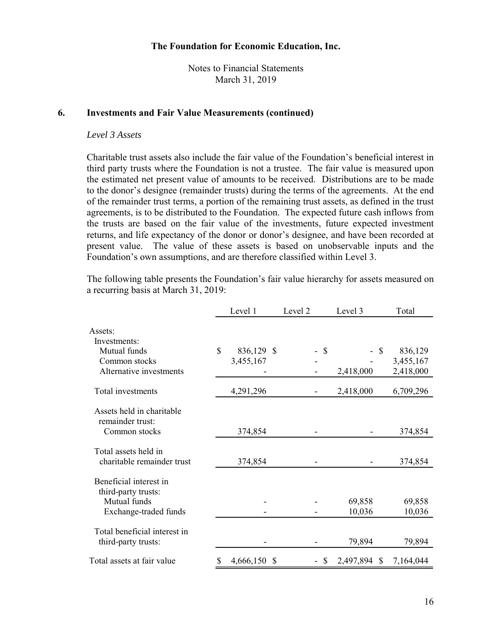Notes to Financial Statements March 31, 2019

#### **6. Investments and Fair Value Measurements (continued)**

#### *Level 3 Assets*

Charitable trust assets also include the fair value of the Foundation's beneficial interest in third party trusts where the Foundation is not a trustee. The fair value is measured upon the estimated net present value of amounts to be received. Distributions are to be made to the donor's designee (remainder trusts) during the terms of the agreements. At the end of the remainder trust terms, a portion of the remaining trust assets, as defined in the trust agreements, is to be distributed to the Foundation. The expected future cash inflows from the trusts are based on the fair value of the investments, future expected investment returns, and life expectancy of the donor or donor's designee, and have been recorded at present value. The value of these assets is based on unobservable inputs and the Foundation's own assumptions, and are therefore classified within Level 3.

The following table presents the Foundation's fair value hierarchy for assets measured on a recurring basis at March 31, 2019:

|                                                    | Level 1          | Level 2        | Level 3               | Total     |
|----------------------------------------------------|------------------|----------------|-----------------------|-----------|
| Assets:                                            |                  |                |                       |           |
| Investments:                                       |                  |                |                       |           |
| Mutual funds                                       | \$<br>836,129 \$ | $\mathcal{S}$  | $\mathcal{S}$         | 836,129   |
| Common stocks                                      | 3,455,167        |                |                       | 3,455,167 |
| Alternative investments                            |                  |                | 2,418,000             | 2,418,000 |
| Total investments                                  | 4,291,296        |                | 2,418,000             | 6,709,296 |
| Assets held in charitable<br>remainder trust:      |                  |                |                       |           |
| Common stocks                                      | 374,854          |                |                       | 374,854   |
| Total assets held in<br>charitable remainder trust | 374,854          |                |                       | 374,854   |
|                                                    |                  |                |                       |           |
| Beneficial interest in<br>third-party trusts:      |                  |                |                       |           |
| Mutual funds                                       |                  |                | 69,858                | 69,858    |
| Exchange-traded funds                              |                  |                | 10,036                | 10,036    |
| Total beneficial interest in                       |                  |                |                       |           |
| third-party trusts:                                |                  |                | 79,894                | 79,894    |
| Total assets at fair value                         | 4,666,150<br>S   | <b>S</b><br>S. | 2,497,894<br><b>S</b> | 7,164,044 |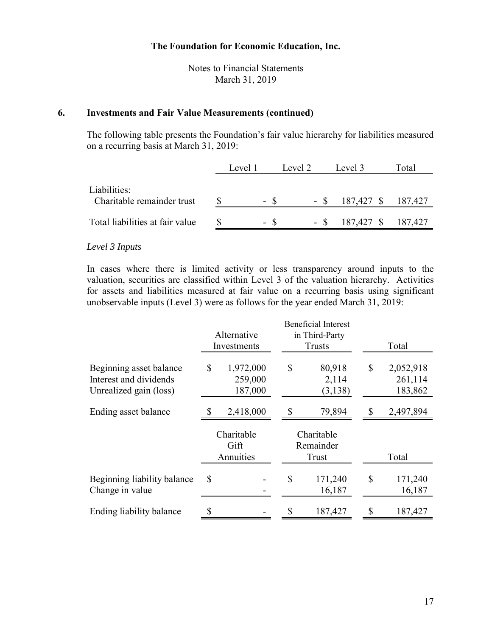Notes to Financial Statements March 31, 2019

#### **6. Investments and Fair Value Measurements (continued)**

The following table presents the Foundation's fair value hierarchy for liabilities measured on a recurring basis at March 31, 2019:

|                                            | Level 1 | Level 2 | Level 3                   | Total |
|--------------------------------------------|---------|---------|---------------------------|-------|
| Liabilities:<br>Charitable remainder trust | - \$    |         | $-$ \$ 187,427 \$ 187,427 |       |
| Total liabilities at fair value            | - \$    |         | $-$ \$ 187,427 \$ 187,427 |       |

#### *Level 3 Inputs*

In cases where there is limited activity or less transparency around inputs to the valuation, securities are classified within Level 3 of the valuation hierarchy. Activities for assets and liabilities measured at fair value on a recurring basis using significant unobservable inputs (Level 3) were as follows for the year ended March 31, 2019:

|                                                                             | <b>Beneficial Interest</b> |                                 |                                  |                             |              |                                 |
|-----------------------------------------------------------------------------|----------------------------|---------------------------------|----------------------------------|-----------------------------|--------------|---------------------------------|
|                                                                             |                            | Alternative                     |                                  | in Third-Party              |              |                                 |
|                                                                             |                            | Investments                     |                                  | Trusts                      |              | Total                           |
| Beginning asset balance<br>Interest and dividends<br>Unrealized gain (loss) | \$                         | 1,972,000<br>259,000<br>187,000 | $\mathbb{S}$                     | 80,918<br>2,114<br>(3, 138) | $\mathbb{S}$ | 2,052,918<br>261,114<br>183,862 |
| Ending asset balance                                                        | \$                         | 2,418,000                       | S                                | 79,894                      | S            | 2,497,894                       |
|                                                                             |                            | Charitable<br>Gift<br>Annuities | Charitable<br>Remainder<br>Trust |                             |              | Total                           |
| Beginning liability balance<br>Change in value                              | \$                         |                                 | $\mathcal{S}$                    | 171,240<br>16,187           | $\mathbb{S}$ | 171,240<br>16,187               |
| Ending liability balance                                                    |                            |                                 | \$                               | 187,427                     |              | 187,427                         |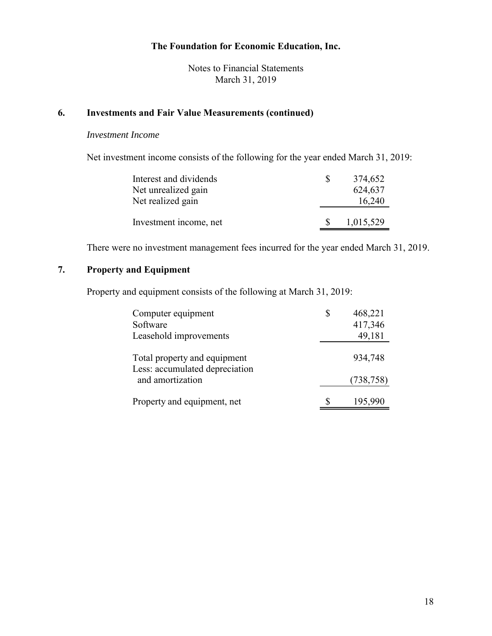Notes to Financial Statements March 31, 2019

## **6. Investments and Fair Value Measurements (continued)**

#### *Investment Income*

Net investment income consists of the following for the year ended March 31, 2019:

| Interest and dividends | S   | 374,652   |
|------------------------|-----|-----------|
| Net unrealized gain    |     | 624,637   |
| Net realized gain      |     | 16,240    |
|                        |     |           |
| Investment income, net | -SS | 1,015,529 |

There were no investment management fees incurred for the year ended March 31, 2019.

# **7. Property and Equipment**

Property and equipment consists of the following at March 31, 2019:

| Computer equipment<br>Software<br>Leasehold improvements       | 468,221<br>417,346<br>49,181 |
|----------------------------------------------------------------|------------------------------|
| Total property and equipment<br>Less: accumulated depreciation | 934,748                      |
| and amortization                                               | (738, 758)                   |
| Property and equipment, net                                    | 195,990                      |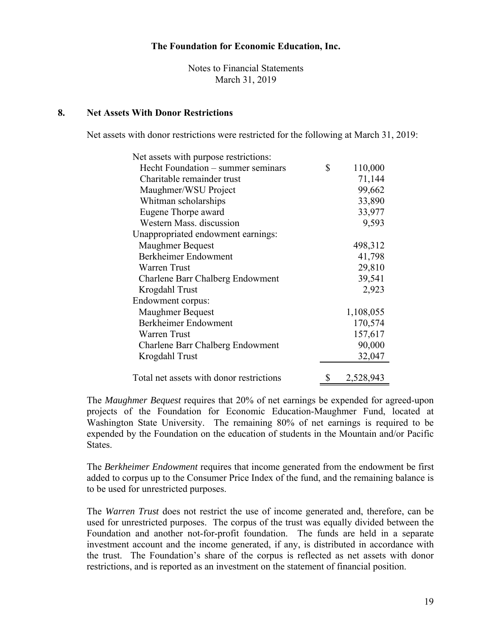Notes to Financial Statements March 31, 2019

#### **8. Net Assets With Donor Restrictions**

Net assets with donor restrictions were restricted for the following at March 31, 2019:

| Net assets with purpose restrictions:    |                 |
|------------------------------------------|-----------------|
| Hecht Foundation – summer seminars       | \$<br>110,000   |
| Charitable remainder trust               | 71,144          |
| Maughmer/WSU Project                     | 99,662          |
| Whitman scholarships                     | 33,890          |
| Eugene Thorpe award                      | 33,977          |
| Western Mass. discussion                 | 9,593           |
| Unappropriated endowment earnings:       |                 |
| <b>Maughmer Bequest</b>                  | 498,312         |
| Berkheimer Endowment                     | 41,798          |
| Warren Trust                             | 29,810          |
| Charlene Barr Chalberg Endowment         | 39,541          |
| Krogdahl Trust                           | 2,923           |
| Endowment corpus:                        |                 |
| Maughmer Bequest                         | 1,108,055       |
| Berkheimer Endowment                     | 170,574         |
| Warren Trust                             | 157,617         |
| Charlene Barr Chalberg Endowment         | 90,000          |
| Krogdahl Trust                           | 32,047          |
|                                          |                 |
| Total net assets with donor restrictions | \$<br>2,528,943 |

The *Maughmer Bequest* requires that 20% of net earnings be expended for agreed-upon projects of the Foundation for Economic Education-Maughmer Fund, located at Washington State University. The remaining 80% of net earnings is required to be expended by the Foundation on the education of students in the Mountain and/or Pacific States.

The *Berkheimer Endowment* requires that income generated from the endowment be first added to corpus up to the Consumer Price Index of the fund, and the remaining balance is to be used for unrestricted purposes.

The *Warren Trust* does not restrict the use of income generated and, therefore, can be used for unrestricted purposes. The corpus of the trust was equally divided between the Foundation and another not-for-profit foundation. The funds are held in a separate investment account and the income generated, if any, is distributed in accordance with the trust. The Foundation's share of the corpus is reflected as net assets with donor restrictions, and is reported as an investment on the statement of financial position.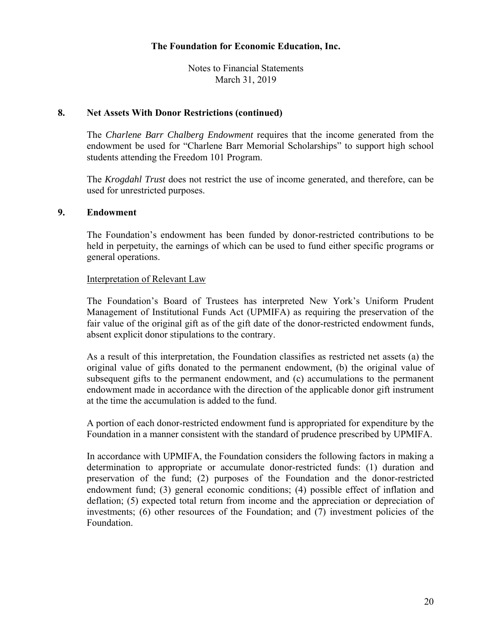Notes to Financial Statements March 31, 2019

#### **8. Net Assets With Donor Restrictions (continued)**

The *Charlene Barr Chalberg Endowment* requires that the income generated from the endowment be used for "Charlene Barr Memorial Scholarships" to support high school students attending the Freedom 101 Program.

The *Krogdahl Trust* does not restrict the use of income generated, and therefore, can be used for unrestricted purposes.

#### **9. Endowment**

The Foundation's endowment has been funded by donor-restricted contributions to be held in perpetuity, the earnings of which can be used to fund either specific programs or general operations.

## Interpretation of Relevant Law

The Foundation's Board of Trustees has interpreted New York's Uniform Prudent Management of Institutional Funds Act (UPMIFA) as requiring the preservation of the fair value of the original gift as of the gift date of the donor-restricted endowment funds, absent explicit donor stipulations to the contrary.

As a result of this interpretation, the Foundation classifies as restricted net assets (a) the original value of gifts donated to the permanent endowment, (b) the original value of subsequent gifts to the permanent endowment, and (c) accumulations to the permanent endowment made in accordance with the direction of the applicable donor gift instrument at the time the accumulation is added to the fund.

A portion of each donor-restricted endowment fund is appropriated for expenditure by the Foundation in a manner consistent with the standard of prudence prescribed by UPMIFA.

In accordance with UPMIFA, the Foundation considers the following factors in making a determination to appropriate or accumulate donor-restricted funds: (1) duration and preservation of the fund; (2) purposes of the Foundation and the donor-restricted endowment fund; (3) general economic conditions; (4) possible effect of inflation and deflation; (5) expected total return from income and the appreciation or depreciation of investments; (6) other resources of the Foundation; and (7) investment policies of the Foundation.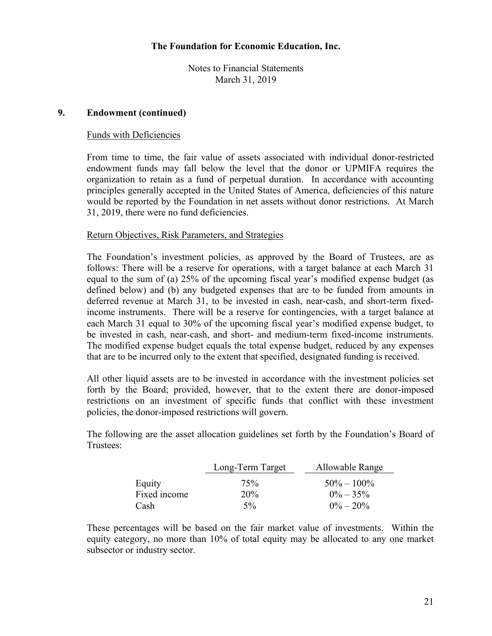Notes to Financial Statements March 31, 2019

## **9. Endowment (continued)**

#### Funds with Deficiencies

From time to time, the fair value of assets associated with individual donor-restricted endowment funds may fall below the level that the donor or UPMIFA requires the organization to retain as a fund of perpetual duration. In accordance with accounting principles generally accepted in the United States of America, deficiencies of this nature would be reported by the Foundation in net assets without donor restrictions. At March 31, 2019, there were no fund deficiencies.

#### Return Objectives, Risk Parameters, and Strategies

The Foundation's investment policies, as approved by the Board of Trustees, are as follows: There will be a reserve for operations, with a target balance at each March 31 equal to the sum of (a) 25% of the upcoming fiscal year's modified expense budget (as defined below) and (b) any budgeted expenses that are to be funded from amounts in deferred revenue at March 31, to be invested in cash, near-cash, and short-term fixedincome instruments. There will be a reserve for contingencies, with a target balance at each March 31 equal to 30% of the upcoming fiscal year's modified expense budget, to be invested in cash, near-cash, and short- and medium-term fixed-income instruments. The modified expense budget equals the total expense budget, reduced by any expenses that are to be incurred only to the extent that specified, designated funding is received.

All other liquid assets are to be invested in accordance with the investment policies set forth by the Board; provided, however, that to the extent there are donor-imposed restrictions on an investment of specific funds that conflict with these investment policies, the donor-imposed restrictions will govern.

The following are the asset allocation guidelines set forth by the Foundation's Board of Trustees:

|              | Long-Term Target | Allowable Range |
|--------------|------------------|-----------------|
| Equity       | 75%              | $50\% - 100\%$  |
| Fixed income | 20 <sup>%</sup>  | $0\% - 35\%$    |
| <b>Cash</b>  | $5\%$            | $0\% - 20\%$    |

These percentages will be based on the fair market value of investments. Within the equity category, no more than 10% of total equity may be allocated to any one market subsector or industry sector.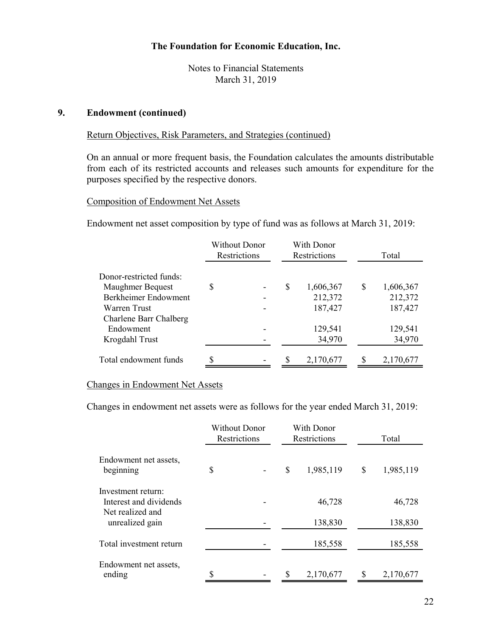Notes to Financial Statements March 31, 2019

#### **9. Endowment (continued)**

#### Return Objectives, Risk Parameters, and Strategies (continued)

On an annual or more frequent basis, the Foundation calculates the amounts distributable from each of its restricted accounts and releases such amounts for expenditure for the purposes specified by the respective donors.

#### Composition of Endowment Net Assets

Endowment net asset composition by type of fund was as follows at March 31, 2019:

|                         | Without Donor<br>Restrictions |    | With Donor<br>Restrictions |   | Total     |
|-------------------------|-------------------------------|----|----------------------------|---|-----------|
| Donor-restricted funds: |                               |    |                            |   |           |
| Maughmer Bequest        | \$                            | \$ | 1,606,367                  | S | 1,606,367 |
| Berkheimer Endowment    |                               |    | 212,372                    |   | 212,372   |
| Warren Trust            |                               |    | 187,427                    |   | 187,427   |
| Charlene Barr Chalberg  |                               |    |                            |   |           |
| Endowment               |                               |    | 129,541                    |   | 129,541   |
| Krogdahl Trust          |                               |    | 34,970                     |   | 34,970    |
| Total endowment funds   | \$                            | S  | 2,170,677                  |   | 2,170,677 |

#### Changes in Endowment Net Assets

Changes in endowment net assets were as follows for the year ended March 31, 2019:

|                                              | <b>Without Donor</b><br>Restrictions | With Donor<br>Restrictions | Total           |
|----------------------------------------------|--------------------------------------|----------------------------|-----------------|
| Endowment net assets,<br>beginning           | \$                                   | \$<br>1,985,119            | \$<br>1,985,119 |
| Investment return:<br>Interest and dividends |                                      | 46,728                     | 46,728          |
| Net realized and<br>unrealized gain          |                                      | 138,830                    | 138,830         |
| Total investment return                      |                                      | 185,558                    | 185,558         |
| Endowment net assets,<br>ending              | \$                                   | \$<br>2,170,677            | \$<br>2,170,677 |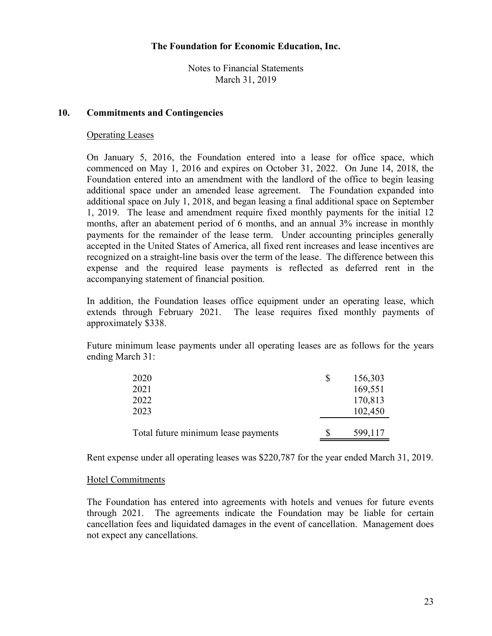Notes to Financial Statements March 31, 2019

#### **10. Commitments and Contingencies**

#### Operating Leases

On January 5, 2016, the Foundation entered into a lease for office space, which commenced on May 1, 2016 and expires on October 31, 2022. On June 14, 2018, the Foundation entered into an amendment with the landlord of the office to begin leasing additional space under an amended lease agreement. The Foundation expanded into additional space on July 1, 2018, and began leasing a final additional space on September 1, 2019. The lease and amendment require fixed monthly payments for the initial 12 months, after an abatement period of 6 months, and an annual 3% increase in monthly payments for the remainder of the lease term. Under accounting principles generally accepted in the United States of America, all fixed rent increases and lease incentives are recognized on a straight-line basis over the term of the lease. The difference between this expense and the required lease payments is reflected as deferred rent in the accompanying statement of financial position.

In addition, the Foundation leases office equipment under an operating lease, which extends through February 2021. The lease requires fixed monthly payments of approximately \$338.

Future minimum lease payments under all operating leases are as follows for the years ending March 31:

| 2020                                | 156,303 |
|-------------------------------------|---------|
| 2021                                | 169,551 |
| 2022                                | 170,813 |
| 2023                                | 102,450 |
|                                     |         |
| Total future minimum lease payments | 599,117 |

Rent expense under all operating leases was \$220,787 for the year ended March 31, 2019.

#### Hotel Commitments

The Foundation has entered into agreements with hotels and venues for future events through 2021. The agreements indicate the Foundation may be liable for certain cancellation fees and liquidated damages in the event of cancellation. Management does not expect any cancellations.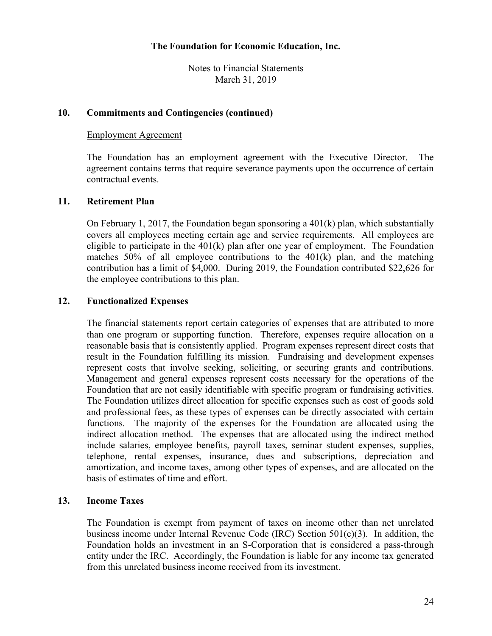Notes to Financial Statements March 31, 2019

## **10. Commitments and Contingencies (continued)**

#### Employment Agreement

The Foundation has an employment agreement with the Executive Director. The agreement contains terms that require severance payments upon the occurrence of certain contractual events.

## **11. Retirement Plan**

On February 1, 2017, the Foundation began sponsoring a 401(k) plan, which substantially covers all employees meeting certain age and service requirements. All employees are eligible to participate in the  $401(k)$  plan after one year of employment. The Foundation matches 50% of all employee contributions to the 401(k) plan, and the matching contribution has a limit of \$4,000. During 2019, the Foundation contributed \$22,626 for the employee contributions to this plan.

## **12. Functionalized Expenses**

The financial statements report certain categories of expenses that are attributed to more than one program or supporting function. Therefore, expenses require allocation on a reasonable basis that is consistently applied. Program expenses represent direct costs that result in the Foundation fulfilling its mission. Fundraising and development expenses represent costs that involve seeking, soliciting, or securing grants and contributions. Management and general expenses represent costs necessary for the operations of the Foundation that are not easily identifiable with specific program or fundraising activities. The Foundation utilizes direct allocation for specific expenses such as cost of goods sold and professional fees, as these types of expenses can be directly associated with certain functions. The majority of the expenses for the Foundation are allocated using the indirect allocation method. The expenses that are allocated using the indirect method include salaries, employee benefits, payroll taxes, seminar student expenses, supplies, telephone, rental expenses, insurance, dues and subscriptions, depreciation and amortization, and income taxes, among other types of expenses, and are allocated on the basis of estimates of time and effort.

## **13. Income Taxes**

The Foundation is exempt from payment of taxes on income other than net unrelated business income under Internal Revenue Code (IRC) Section 501(c)(3). In addition, the Foundation holds an investment in an S-Corporation that is considered a pass-through entity under the IRC. Accordingly, the Foundation is liable for any income tax generated from this unrelated business income received from its investment.